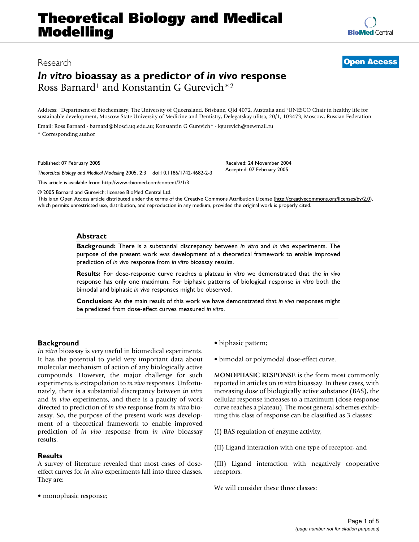## **Theoretical Biology and Medical Modelling**

# **[BioMed](http://www.biomedcentral.com/)** Central

## *In vitro* **bioassay as a predictor of** *in vivo* **response** Ross Barnard1 and Konstantin G Gurevich\*2

Address: 1Department of Biochemistry, The University of Queensland, Brisbane, Qld 4072, Australia and 2UNESCO Chair in healthy life for sustainable development, Moscow State University of Medicine and Dentistry, Delegatskay ulitsa, 20/1, 103473, Moscow, Russian Federation

Email: Ross Barnard - barnard@biosci.uq.edu.au; Konstantin G Gurevich\* - kgurevich@newmail.ru \* Corresponding author

Published: 07 February 2005

*Theoretical Biology and Medical Modelling* 2005, **2**:3 doi:10.1186/1742-4682-2-3

[This article is available from: http://www.tbiomed.com/content/2/1/3](http://www.tbiomed.com/content/2/1/3)

© 2005 Barnard and Gurevich; licensee BioMed Central Ltd.

This is an Open Access article distributed under the terms of the Creative Commons Attribution License [\(http://creativecommons.org/licenses/by/2.0\)](http://creativecommons.org/licenses/by/2.0), which permits unrestricted use, distribution, and reproduction in any medium, provided the original work is properly cited.

#### **Abstract**

**Background:** There is a substantial discrepancy between *in vitro* and *in vivo* experiments. The purpose of the present work was development of a theoretical framework to enable improved prediction of *in vivo* response from *in vitro* bioassay results.

**Results:** For dose-response curve reaches a plateau *in vitro* we demonstrated that the *in vivo* response has only one maximum. For biphasic patterns of biological response *in vitro* both the bimodal and biphasic *in vivo* responses might be observed.

**Conclusion:** As the main result of this work we have demonstrated that *in vivo* responses might be predicted from dose-effect curves measured *in vitro*.

### **Background**

*In vitro* bioassay is very useful in biomedical experiments. It has the potential to yield very important data about molecular mechanism of action of any biologically active compounds. However, the major challenge for such experiments is extrapolation to *in vivo* responses. Unfortunately, there is a substantial discrepancy between *in vitro* and *in vivo* experiments, and there is a paucity of work directed to prediction of *in vivo* response from *in vitro* bioassay. So, the purpose of the present work was development of a theoretical framework to enable improved prediction of *in vivo* response from *in vitro* bioassay results.

#### **Results**

A survey of literature revealed that most cases of doseeffect curves for *in vitro* experiments fall into three classes. They are:

• monophasic response;

• biphasic pattern;

Received: 24 November 2004 Accepted: 07 February 2005

• bimodal or polymodal dose-effect curve.

**MONOPHASIC RESPONSE** is the form most commonly reported in articles on *in vitro* bioassay. In these cases, with increasing dose of biologically active substance (BAS), the cellular response increases to a maximum (dose-response curve reaches a plateau). The most general schemes exhibiting this class of response can be classified as 3 classes:

(I) BAS regulation of enzyme activity,

(II) Ligand interaction with one type of receptor, and

(III) Ligand interaction with negatively cooperative receptors.

We will consider these three classes: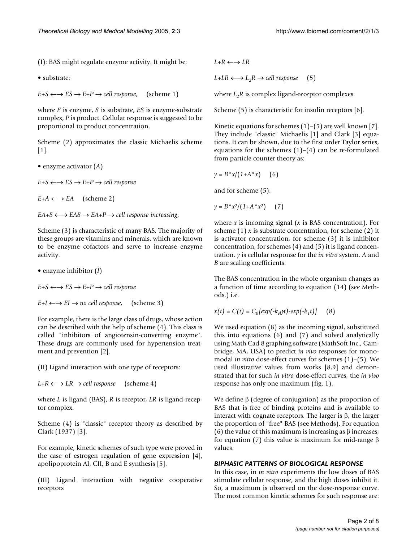(I): BAS might regulate enzyme activity. It might be:

• substrate:

 $E+S \leftarrow \rightarrow ES \rightarrow E+P \rightarrow cell$  *response*, (scheme 1)

where *E* is enzyme, *S* is substrate, *ES* is enzyme-substrate complex, *P* is product. Cellular response is suggested to be proportional to product concentration.

Scheme (2) approximates the classic Michaelis scheme [1].

• enzyme activator (*A*)

 $E+S \leftarrow \rightarrow ES \rightarrow E+P \rightarrow cell$  *response* 

 $E+A \leftarrow \rightarrow EA$  (scheme 2)

 $EA + S \leftarrow \rightarrow EAS \rightarrow EA + P \rightarrow cell$  *response increasing*,

Scheme (3) is characteristic of many BAS. The majority of these groups are vitamins and minerals, which are known to be enzyme cofactors and serve to increase enzyme activity.

• enzyme inhibitor (*I*)

 $E + S \leftarrow \rightarrow ES \rightarrow E + P \rightarrow cell$  *response* 

 $E+I \leftarrow \rightarrow EI \rightarrow no$  *cell response*, (scheme 3)

For example, there is the large class of drugs, whose action can be described with the help of scheme (4). This class is called "inhibitors of angiotensin-converting enzyme". These drugs are commonly used for hypertension treatment and prevention [2].

(II) Ligand interaction with one type of receptors:

 $L+R \leftarrow \rightarrow LR \rightarrow cell$  *response* (scheme 4)

where *L* is ligand (BAS), *R* is receptor, *LR* is ligand-receptor complex.

Scheme (4) is "classic" receptor theory as described by Clark (1937) [3].

For example, kinetic schemes of such type were proved in the case of estrogen regulation of gene expression [4], apolipoprotein AI, CII, B and E synthesis [5].

(III) Ligand interaction with negative cooperative receptors

 $L+R \leftarrow \rightarrow LR$ 

 $L+LR \leftarrow \rightarrow L_2R \rightarrow cell$  *response* (5)

where  $L_2R$  is complex ligand-receptor complexes.

Scheme (5) is characteristic for insulin receptors [6].

Kinetic equations for schemes  $(1)$ – $(5)$  are well known  $[7]$ . They include "classic" Michaelis [1] and Clark [3] equations. It can be shown, due to the first order Taylor series, equations for the schemes  $(1)$ – $(4)$  can be re-formulated from particle counter theory as:

$$
\gamma = B^*x/(1+A^*x) \qquad (6)
$$

and for scheme (5):

 $y = B^*x^2/(1+A^*x^2)$  (7)

where *x* is incoming signal (*x* is BAS concentration). For scheme (1) *x* is substrate concentration, for scheme (2) it is activator concentration, for scheme (3) it is inhibitor concentration, for schemes (4) and (5) it is ligand concentration. *y* is cellular response for the *in vitro* system. *A* and *B* are scaling coefficients.

The BAS concentration in the whole organism changes as a function of time according to equation (14) (see Methods.) i.e.

$$
x(t) = C(t) = C_0[exp(-k_{el}\pi) - exp(-k_1t)] \qquad (8)
$$

We used equation (8) as the incoming signal, substituted this into equations (6) and (7) and solved analytically using Math Cad 8 graphing software (MathSoft Inc., Cambridge, MA, USA) to predict *in vivo* responses for monomodal *in vitro* dose-effect curves for schemes (1)–(5). We used illustrative values from works [8,9] and demonstrated that for such *in vitro* dose-effect curves, the *in vivo* response has only one maximum (fig. [1](#page-2-0)).

We define β (degree of conjugation) as the proportion of BAS that is free of binding proteins and is available to interact with cognate receptors. The larger is β, the larger the proportion of "free" BAS (see Methods). For equation (6) the value of this maximum is increasing as  $\beta$  increases; for equation (7) this value is maximum for mid-range β values.

#### *BIPHASIC PATTERNS OF BIOLOGICAL RESPONSE*

In this case, in *in vitro* experiments the low doses of BAS stimulate cellular response, and the high doses inhibit it. So, a maximum is observed on the dose-response curve. The most common kinetic schemes for such response are: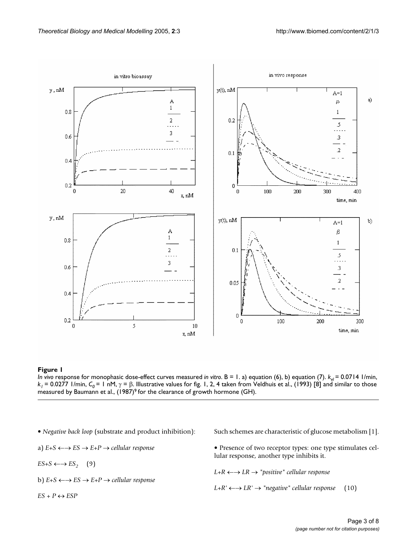<span id="page-2-0"></span>

*In vivo response for monophasic dose-effect curves measured <i>in vitro*. B = 1. a) equation (6), b) equation (7).  $k_{el}$  = 0.0714 1/min,  $k_1$  = 0.0277 1/min,  $C_0$  = 1 nM,  $\gamma$  = β. Illustrative values for fig. 1, 2, 4 taken from Veldhuis et al., (1993) [8] and similar to those measured by Baumann et al., (1987)<sup>9</sup> for the clearance of growth hormone (GH).

- *Negative back loop* (substrate and product inhibition):
- a) *E+S* ←→ *ES* → *E+P* → *cellular response*
- $ES+S \leftarrow \rightarrow ES_2$  (9)
- b) *E+S* ←→ *ES* → *E+P* → *cellular response*
- $ES + P \leftrightarrow ESP$
- Such schemes are characteristic of glucose metabolism [1].
- Presence of two receptor types: one type stimulates cellular response, another type inhibits it.
- *L+R* ←→ *LR* → *"positive" cellular response*
- $L+R'$  ←  $\rightarrow$  *LR'*  $\rightarrow$  *"negative" cellular response* (10)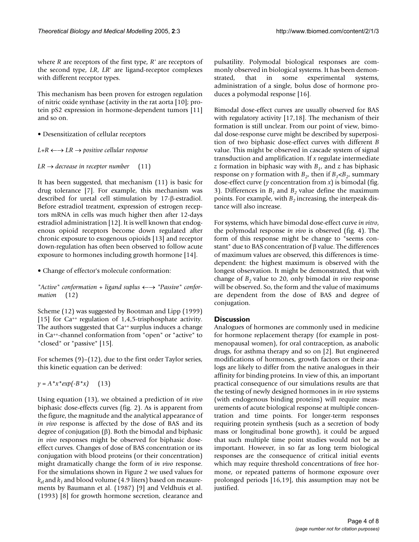where *R* are receptors of the first type, *R'* are receptors of the second type, *LR*, *LR*' are ligand-receptor complexes with different receptor types.

This mechanism has been proven for estrogen regulation of nitric oxide synthase (activity in the rat aorta [10]; protein pS2 expression in hormone-dependent tumors [11] and so on.

• Desensitization of cellular receptors

*L+R* ←→ *LR* → *positive cellular response*

 $LR \rightarrow$  *decrease in receptor number* (11)

It has been suggested, that mechanism (11) is basic for drug tolerance [7]. For example, this mechanism was described for uretal cell stimulation by 17-β-estradiol. Before estradiol treatment, expression of estrogen receptors mRNA in cells was much higher then after 12-days estradiol administration [12]. It is well known that endogenous opioid receptors become down regulated after chronic exposure to exogenous opioids [13] and receptor down-regulation has often been observed to follow acute exposure to hormones including growth hormone [14].

• Change of effector's molecule conformation:

*"Active" conformation* + *ligand suplus* ←→ *"Passive" conformation* (12)

Scheme (12) was suggested by Bootman and Lipp (1999) [15] for Ca<sup>++</sup> regulation of 1,4,5-trisphosphate activity. The authors suggested that  $Ca^{++}$  surplus induces a change in Ca++-channel conformation from "open" or "active" to "closed" or "passive" [15].

For schemes (9)–(12), due to the first order Taylor series, this kinetic equation can be derived:

 $y = A^*x^*exp(-B^*x)$  (13)

Using equation (13), we obtained a prediction of *in vivo* biphasic dose-effects curves (fig. [2](#page-4-0)). As is apparent from the figure, the magnitude and the analytical appearance of *in vivo* response is affected by the dose of BAS and its degree of conjugation (β). Both the bimodal and biphasic *in vivo* responses might be observed for biphasic doseeffect curves. Changes of dose of BAS concentration or its conjugation with blood proteins (or their concentration) might dramatically change the form of *in vivo* response. For the simulations shown in Figure [2](#page-4-0) we used values for  $k_{el}$  and  $k_1$  and blood volume (4.9 liters) based on measurements by Baumann et al. (1987) [9] and Veldhuis et al. (1993) [8] for growth hormone secretion, clearance and

pulsatility. Polymodal biological responses are commonly observed in biological systems. It has been demonstrated, that in some experimental systems, administration of a single, bolus dose of hormone produces a polymodal response [16].

Bimodal dose-effect curves are usually observed for BAS with regulatory activity [17,18]. The mechanism of their formation is still unclear. From our point of view, bimodal dose-response curve might be described by superposition of two biphasic dose-effect curves with different *B* value. This might be observed in cascade system of signal transduction and amplification. If *x* regulate intermediate *z* formation in biphasic way with  $B_1$ , and *z* has biphasic response on *y* formation with  $B_2$ , then if  $B_1 \lt B_2$ , summary dose-effect curve (*y* concentration from *x*) is bimodal (fig. [3](#page-5-0)). Differences in  $B_1$  and  $B_2$  value define the maximum points. For example, with *B*<sub>2</sub> increasing, the interpeak distance will also increase.

For systems, which have bimodal dose-effect curve *in vitro*, the polymodal response *in vivo* is observed (fig. [4](#page-6-0)). The form of this response might be change to "seems constant" due to BAS concentration of β value. The differences of maximum values are observed, this differences is timedependent: the highest maximum is observed with the longest observation. It might be demonstrated, that with change of *B2* value to 20, only bimodal *in vivo* response will be observed. So, the form and the value of maximums are dependent from the dose of BAS and degree of conjugation.

### **Discussion**

Analogues of hormones are commonly used in medicine for hormone replacement therapy (for example in postmenopausal women), for oral contraception, as anabolic drugs, for asthma therapy and so on [2]. But engineered modifications of hormones, growth factors or their analogs are likely to differ from the native analogues in their affinity for binding proteins. In view of this, an important practical consequence of our simulations results are that the testing of newly designed hormones in *in vivo* systems (with endogenous binding proteins) will require measurements of acute biological response at multiple concentration and time points. For longer-term responses requiring protein synthesis (such as a secretion of body mass or longitudinal bone growth), it could be argued that such multiple time point studies would not be as important. However, in so far as long term biological responses are the consequence of critical initial events which may require threshold concentrations of free hormone, or repeated patterns of hormone exposure over prolonged periods [16,19], this assumption may not be justified.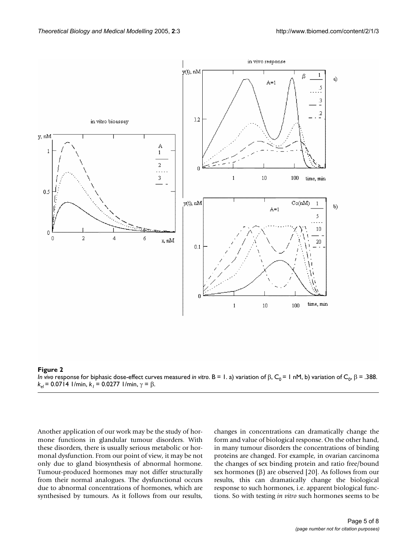<span id="page-4-0"></span>

*In vivo response for biphasic dose-effect curves measured in vitro. B = 1. a) variation of*  $\beta$ *,*  $C_0 = 1$  *nM, b) variation of*  $C_0$ *,*  $\beta = .388$ *. k<sub>el</sub>* = 0.0714 1/min,  $k_1$  = 0.0277 1/min,  $γ = β$ .

Another application of our work may be the study of hormone functions in glandular tumour disorders. With these disorders, there is usually serious metabolic or hormonal dysfunction. From our point of view, it may be not only due to gland biosynthesis of abnormal hormone. Tumour-produced hormones may not differ structurally from their normal analogues. The dysfunctional occurs due to abnormal concentrations of hormones, which are synthesised by tumours. As it follows from our results,

changes in concentrations can dramatically change the form and value of biological response. On the other hand, in many tumour disorders the concentrations of binding proteins are changed. For example, in ovarian carcinoma the changes of sex binding protein and ratio free/bound sex hormones (β) are observed [20]. As follows from our results, this can dramatically change the biological response to such hormones, i.e. apparent biological functions. So with testing *in vitro* such hormones seems to be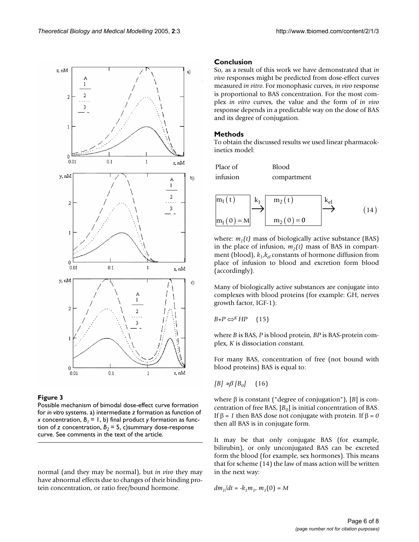<span id="page-5-0"></span>

Possible mechanism of bimodal dose-effect curve formation for *in vitro* systems. a) intermediate *z* formation as function of *x* concentration,  $B_1 = 1$ , b) final product *y* formation as function of *z* concentration,  $B_2 = 5$ , c)summary dose-response curve. See comments in the text of the article.

normal (and they may be normal), but *in vivo* they may have abnormal effects due to changes of their binding protein concentration, or ratio free/bound hormone.

#### **Conclusion**

So, as a result of this work we have demonstrated that *in vivo* responses might be predicted from dose-effect curves measured *in vitro*. For monophasic curves, *in vivo* response is proportional to BAS concentration. For the most complex *in vitro* curves, the value and the form of *in vivo* response depends in a predictable way on the dose of BAS and its degree of conjugation.

#### **Methods**

To obtain the discussed results we used linear pharmacokinetics model:

| Place of | <b>Blood</b> |
|----------|--------------|
| infusion | compartment  |



where:  $m_1(t)$  mass of biologically active substance (BAS) in the place of infusion,  $m_2(t)$  mass of BAS in compartment (blood),  $k_l$ , $k_{el}$  constants of hormone diffusion from place of infusion to blood and excretion form blood (accordingly).

Many of biologically active substances are conjugate into complexes with blood proteins (for example: GH, nerves growth factor, IGF-1):

 $B+P \Leftrightarrow KHP$  (15)

where *B* is BAS, *P* is blood protein, *BP* is BAS-protein complex, *K* is dissociation constant.

For many BAS, concentration of free (not bound with blood proteins) BAS is equal to:

 $[B] \approx β[B_0]$  (16)

where β is constant ("degree of conjugation"), [*B*] is concentration of free BAS,  $[B_0]$  is initial concentration of BAS. If β = *1* then BAS dose not conjugate with protein. If β = *0* then all BAS is in conjugate form.

It may be that only conjugate BAS (for example, bilirubin), or only unconjugated BAS can be excreted form the blood (for example, sex hormones). This means that for scheme (14) the law of mass action will be written in the next way:

$$
dm_1/dt = -k_1m_1, m_1(0) = M
$$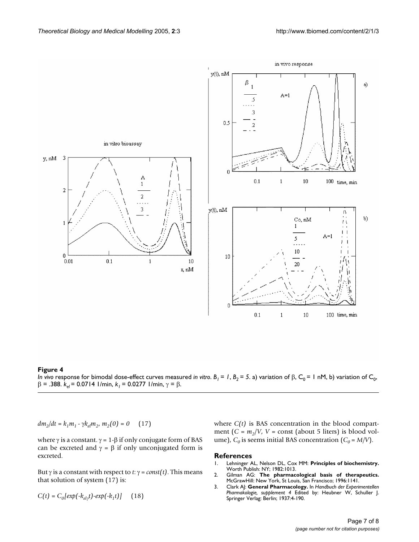<span id="page-6-0"></span>

*In vivo response for bimodal dose-effect curves measured <i>in vitro*.  $B_1 = 1$ ,  $B_2 = 5$ . a) variation of β, C<sub>0</sub> = 1 nM, b) variation of C<sub>0</sub>,  $β = .388$ .  $k_{el} = 0.0714$  1/min,  $k_1 = 0.0277$  1/min,  $γ = β$ .

 $dm_2/dt = k_1m_1 \cdot \gamma k_{el}m_2, m_2(0) = 0$  (17)

where  $γ$  is a constant.  $γ = 1-β$  if only conjugate form of BAS can be excreted and  $\gamma = \beta$  if only unconjugated form is excreted.

But γ is a constant with respect to *t*: γ = *const(t)*. This means that solution of system (17) is:

$$
C(t) = C_0[exp(-k_{ely}t) - exp(-k_1t)] \qquad (18)
$$

where *C(t)* is BAS concentration in the blood compartment  $(C = m_2/V, V = \text{const}$  (about 5 liters) is blood volume),  $C_0$  is seems initial BAS concentration  $(C_0 = M/V)$ .

## **References**<br>1. Lehninger A

- 1. Lehninger AL, Nelson DL, Cox MM: **Principles of biochemistry.** Worth Publish: NY; 1982:1013.
- 2. Gilman AG: **The pharmacological basis of therapeutics.** McGrawHill: New York, St Louis, San Francisco; 1996:1141.
- 3. Clark AJ: **General Pharmacology.** In *Handbuch der Experimentellen Pharmakologie, supplement 4* Edited by: Heubner W, Schuller J. Springer Verlag: Berlin; 1937:4-190.